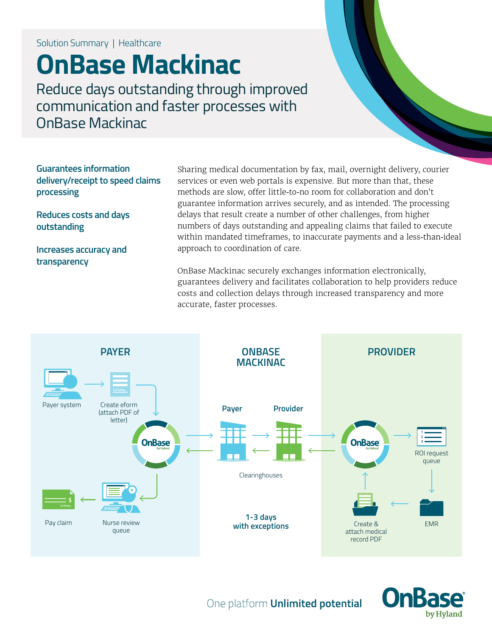Solution Summary | Healthcare

# **OnBase Mackinac**

Reduce days outstanding through improved communication and faster processes with OnBase Mackinac

**Guarantees information delivery/receipt to speed claims processing**

**Reduces costs and days outstanding**

**Increases accuracy and transparency**

Sharing medical documentation by fax, mail, overnight delivery, courier services or even web portals is expensive. But more than that, these methods are slow, offer little-to-no room for collaboration and don't guarantee information arrives securely, and as intended. The processing delays that result create a number of other challenges, from higher numbers of days outstanding and appealing claims that failed to execute within mandated timeframes, to inaccurate payments and a less-than-ideal approach to coordination of care.

OnBase Mackinac securely exchanges information electronically, guarantees delivery and facilitates collaboration to help providers reduce costs and collection delays through increased transparency and more accurate, faster processes.